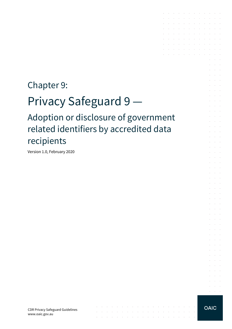# Chapter 9:

# Privacy Safeguard 9

Adoption or disclosure of government related identifiers by accredited data recipients

 $\mathcal{L}_{\mathcal{A}}$  . The second constraints of the second constraints of the second constraints of  $\mathcal{A}$ 

. The simple properties of the simple properties of the simple properties  $\mathcal{L}_\mathcal{A}$ 

Version 1.0, February 2020

CDR Privacy Safeguard Guidelines www.oaic.gov.au

 $\sim 10^{-10}$  km s  $^{-1}$ 

 $\alpha$  , and  $\alpha$ 

 $\mathcal{A}$  is a set of the set of the set of the set of the set of  $\mathcal{A}$ فالمتواصل والمتواطن والمتواطن والمتواطن والمتواطن and the company of the company of the company of  $\sim$  $\mathcal{A}$ the control of the control of the the contract of the contract of the contract of  $\mathcal{A}$  is a subset of the set of  $\mathcal{A}$  . The  $\mathcal{A}$ 

 $\mathcal{A}$  is a set of the set of the set of the set of  $\mathcal{A}$ a construction of the construction of the construction of the construction of the construction of the construction of the construction of the construction of the construction of the construction of the construction of the

 $\sim$ 

 $\sim 10^{-11}$ 

and the control

**All Cardinal** 

**Contract Contract Contractor** 

**Service State** 

**Contractor Service Control**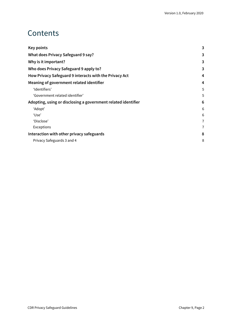## Contents

| <b>Key points</b>                                             | 3 |
|---------------------------------------------------------------|---|
| What does Privacy Safeguard 9 say?                            |   |
| Why is it important?                                          | 3 |
| Who does Privacy Safeguard 9 apply to?                        | 3 |
| How Privacy Safeguard 9 interacts with the Privacy Act        | 4 |
| Meaning of government related identifier                      | 4 |
| 'Identifiers'                                                 | 5 |
| 'Government related identifier'                               | 5 |
| Adopting, using or disclosing a government related identifier | 6 |
| 'Adopt'                                                       | 6 |
| 'Use'                                                         | 6 |
| 'Disclose'                                                    | 7 |
| Exceptions                                                    | 7 |
| Interaction with other privacy safeguards                     | 8 |
| Privacy Safeguards 3 and 4                                    | 8 |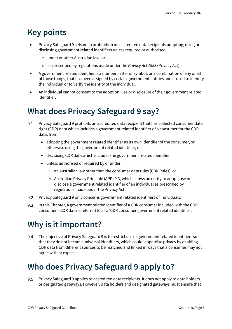# <span id="page-2-0"></span>**Key points**

- Privacy Safeguard 9 sets out a prohibition on accredited data recipients adopting, using or disclosing government related identifiers unless required or authorised:
	- o under another Australian law, or
	- o as prescribed by regulations made under the *Privacy Act 1988* (Privacy Act).
- A government related identifier is a number, letter or symbol, or a combination of any or all of those things, that has been assigned by certain government entities and is used to identify the individual or to verify the identity of the individual.
- An individual cannot consent to the adoption, use or disclosure of their government related identifier.

# <span id="page-2-1"></span>**What does Privacy Safeguard 9 say?**

- $9.1$ Privacy Safeguard 9 prohibits an accredited data recipient that has collected consumer data right (CDR) data which includes a government related identifier of a consumer for the CDR data, from:
	- adopting the government related identifier as its own identifier of the consumer, or otherwise using the government related identifier, or
	- disclosing CDR data which includes the government related identifier
	- unless authorised or required by or under:
		- o an Australian law other than the consumer data rules (CDR Rules), or
		- o Australian Privacy Principle (APP) 9.3, which allows an entity to adopt, use or disclose a government related identifier of an individual as prescribed by regulations made under the Privacy Act.
- $9.2$ Privacy Safeguard 9 only concerns government related identifiers of individuals.
- 9.3 In this Chapter, a government related identifier of a CDR consumer included with the CDR consumer's CDR data is referred to as a 'CDR consumer government related identifier'.

# <span id="page-2-2"></span>**Why is it important?**

9.4 The objective of Privacy Safeguard 9 is to restrict use of government related identifiers so that they do not become universal identifiers, which could jeopardise privacy by enabling CDR data from different sources to be matched and linked in ways that a consumer may not agree with or expect.

# <span id="page-2-3"></span>**Who does Privacy Safeguard 9 apply to?**

Privacy Safeguard 9 applies to accredited data recipients. It does not apply to data holders 9.5 or designated gateways. However, data holders and designated gateways must ensure that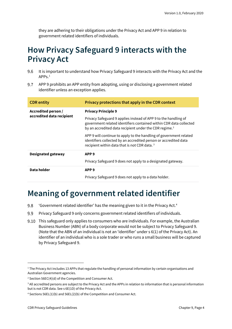they are adhering to their obligations under the Privacy Act and APP 9 in relation to government related identifiers of individuals.

# <span id="page-3-0"></span>**How Privacy Safeguard 9 interacts with the Privacy Act**

- 9.6 It is important to understand how Privacy Safeguard 9 interacts with the Privacy Act and the  $APPS<sub>1</sub>$  $APPS<sub>1</sub>$  $APPS<sub>1</sub>$
- 9.7 APP 9 prohibits an APP entity from adopting, using or disclosing a government related identifier unless an exception applies.

| <b>CDR</b> entity                                | Privacy protections that apply in the CDR context                                                                                                                                                           |
|--------------------------------------------------|-------------------------------------------------------------------------------------------------------------------------------------------------------------------------------------------------------------|
| Accredited person /<br>accredited data recipient | <b>Privacy Principle 9</b>                                                                                                                                                                                  |
|                                                  | Privacy Safeguard 9 applies instead of APP 9 to the handling of<br>government related identifiers contained within CDR data collected<br>by an accredited data recipient under the CDR regime. <sup>2</sup> |
|                                                  | APP 9 will continue to apply to the handling of government related<br>identifiers collected by an accredited person or accredited data<br>recipient within data that is not CDR data. <sup>3</sup>          |
| <b>Designated gateway</b>                        | APP <sub>9</sub>                                                                                                                                                                                            |
|                                                  | Privacy Safeguard 9 does not apply to a designated gateway.                                                                                                                                                 |
| Data holder                                      | APP <sub>9</sub>                                                                                                                                                                                            |
|                                                  | Privacy Safeguard 9 does not apply to a data holder.                                                                                                                                                        |

# <span id="page-3-1"></span>**Meaning of government related identifier**

- 9.8 'Government related identifier' has the meaning given to it in the Privacy Act. [4](#page-3-5)
- 9.9 Privacy Safeguard 9 only concerns government related identifiers of individuals.
- This safeguard only applies to consumers who are individuals. For example, the Australian Business Number (ABN) of a body corporate would not be subject to Privacy Safeguard 9. (Note that the ABN of an individual is not an 'identifier' under s 6(1) of the Privacy Act). An identifier of an individual who is a sole trader or who runs a small business will be captured by Privacy Safeguard 9.

<span id="page-3-2"></span><sup>&</sup>lt;sup>1</sup> The Privacy Act includes 13 APPs that regulate the handling of personal information by certain organisations and Australian Government agencies.

<span id="page-3-3"></span><sup>2</sup> Section 56EC(4)(d) of the Competition and Consumer Act.

<span id="page-3-4"></span><sup>&</sup>lt;sup>3</sup> All accredited persons are subject to the Privacy Act and the APPs in relation to information that is personal information but is not CDR data. See s 6E(1D) of the Privacy Act.

<span id="page-3-5"></span><sup>4</sup> Sections 56EL(1)(b) and 56EL(2)(b) of the Competition and Consumer Act.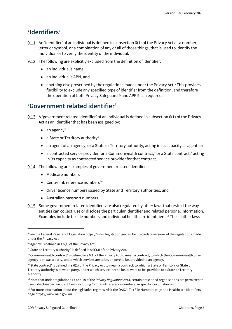### <span id="page-4-0"></span>**'Identifiers'**

- 9.11 An 'identifier' of an individual is defined in subsection  $6(1)$  of the Privacy Act as a number, letter or symbol, or a combination of any or all of those things, that is used to identify the individual or to verify the identity of the individual.
- The following are explicitly excluded from the definition of identifier:
	- an individual's name
	- an individual's ABN, and
	- anything else prescribed by the regulations made under the Privacy Act. $5$  This provides flexibility to exclude any specified type of identifier from the definition, and therefore the operation of both Privacy Safeguard 9 and APP 9, as required.

### <span id="page-4-1"></span>**'Government related identifier'**

- A 'government related identifier' of an individual is defined in subsection 6(1) of the Privacy Act as an identifier that has been assigned by:
	- $\bullet$  an agency<sup>[6](#page-4-3)</sup>
	- a State or Territory authority<sup>[7](#page-4-4)</sup>
	- an agent of an agency, or a State or Territory authority, acting in its capacity as agent, or
	- a contracted service provider for a Commonwealth contract,<sup>[8](#page-4-5)</sup> or a State contract,<sup>[9](#page-4-6)</sup> acting in its capacity as contracted service provider for that contract.
- 9.14 The following are examples of government related identifiers:
	- Medicare numbers
	- Centrelink reference numbers $^{10}$  $^{10}$  $^{10}$
	- driver licence numbers issued by State and Territory authorities, and
	- Australian passport numbers.
- Some government related identifiers are also regulated by other laws that restrict the way entities can collect, use or disclose the particular identifier and related personal information. Examples include tax file numbers and individual healthcare identifiers.[11](#page-4-8) These other laws

<span id="page-4-2"></span><sup>&</sup>lt;sup>5</sup> See the Federal Register of Legislation https://www.legislation.gov.au for up-to-date versions of the regulations made under the Privacy Act.

<span id="page-4-3"></span> $6$  'Agency' is defined in s  $6(1)$  of the Privacy Act.

<span id="page-4-4"></span><sup>&</sup>lt;sup>7</sup> 'State or Territory authority" is defined in  $s$  6C(3) of the Privacy Act.

<span id="page-4-5"></span><sup>&</sup>lt;sup>8</sup> 'Commonwealth contract' is defined in s 6(1) of the Privacy Act to mean a contract, to which the Commonwealth or an agency is or was a party, under which services are to be, or were to be, provided to an agency.

<span id="page-4-6"></span><sup>&</sup>lt;sup>9</sup> 'State contract' is defined in s 6(1) of the Privacy Act to mean a contract, to which a State or Territory or State or Territory authority is or was a party, under which services are to be, or were to be, provided to a State or Territory authority.

<span id="page-4-7"></span><sup>10</sup> Note that under regulations 17 and 18 of the *Privacy Regulation 2013*, certain prescribed organisations are permitted to use or disclose certain identifiers (including Centrelink reference numbers) in specific circumstances.

<span id="page-4-8"></span><sup>&</sup>lt;sup>11</sup> For more information about the legislative regimes, visit the OAIC's Tax File Numbers page and Healthcare Identifiers page https://www.oaic.gov.au.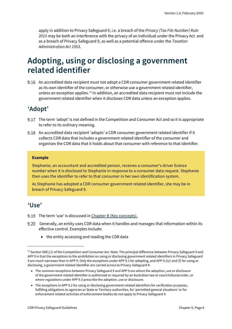apply in addition to Privacy Safeguard 9, i.e. a breach of the *Privacy (Tax File Number) Rule 2015* may be both an interference with the privacy of an individual under the Privacy Act and as a breach of Privacy Safeguard 9, as well as a potential offence under the *Taxation Administration Act 1953*.

### <span id="page-5-0"></span>**Adopting, using or disclosing a government related identifier**

9.16 An accredited data recipient must not adopt a CDR consumer government related identifier as its own identifier of the consumer, or otherwise use a government related identifier, unless an exception applies.[12](#page-5-3) In addition, an accredited data recipient must not include the government related identifier when it discloses CDR data unless an exception applies.

### <span id="page-5-1"></span>**'Adopt'**

- 9.17 The term 'adopt' is not defined in the Competition and Consumer Act and so it is appropriate to refer to its ordinary meaning.
- An accredited data recipient 'adopts' a CDR consumer government related identifier if it collects CDR data that includes a government related identifier of the consumer and organises the CDR data that it holds about that consumer with reference to that identifier.

#### **Example**

Stephanie, an accountant and accredited person, receives a consumer's driver licence number when it is disclosed to Stephanie in response to a consumer data request. Stephanie then uses the identifier to refer to that consumer in her own identification system.

As Stephanie has adopted a CDR consumer government related identifier, she may be in breach of Privacy Safeguard 9.

#### <span id="page-5-2"></span>**'Use'**

- 9.19 The term 'use' is discussed i[n Chapter B \(Key concepts\).](https://www.oaic.gov.au/consumer-data-right/cdr-privacy-safeguard-guidelines/chapter-b-key-concepts)
- Generally, an entity uses CDR data when it handles and manages that information within its effective control. Examples include:
	- the entity accessing and reading the CDR data

<span id="page-5-3"></span><sup>&</sup>lt;sup>12</sup> Section 56EL(1) of the Competition and Consumer Act. Note: The principal difference between Privacy Safeguard 9 and APP 9 is that the exceptions to the prohibition on using or disclosing government related identifiers in Privacy Safeguard 9 are much narrower than in APP 9. Only the exceptions under APP 9.1 for adopting, and APP 9.2(c) and (f) for using or disclosing, a government related identifier are carried across to Privacy Safeguard 9:

<sup>•</sup> The common exceptions between Privacy Safeguard 9 and APP 9 are where the adoption, use or disclosure of the government related identifier is authorised or required by an Australian law or court/tribunal order, or where regulations under APP 9.3 prescribe the adoption, use or disclosure.

<sup>•</sup> The exceptions in APP 9.2 for using or disclosing government related identifiers for verification purposes, fulfilling obligations to agencies or State or Territory authorities, for 'permitted general situations' or for enforcement related activities of enforcement bodies do not apply to Privacy Safeguard 9.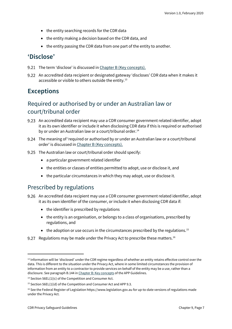- the entity searching records for the CDR data
- the entity making a decision based on the CDR data, and
- the entity passing the CDR data from one part of the entity to another.

### <span id="page-6-0"></span>**'Disclose'**

- 9.21 The term 'disclose' is discussed in [Chapter B \(Key concepts\).](https://www.oaic.gov.au/consumer-data-right/cdr-privacy-safeguard-guidelines/chapter-b-key-concepts)
- 9.22 An accredited data recipient or designated gateway 'discloses' CDR data when it makes it accessible or visible to others outside the entity.<sup>[13](#page-6-2)</sup>

### <span id="page-6-1"></span>**Exceptions**

### Required or authorised by or under an Australian law or court/tribunal order

- 9.23 An accredited data recipient may use a CDR consumer government related identifier, adopt it as its own identifier or include it when disclosing CDR data if this is required or authorised by or under an Australian law or a court/tribunal order.<sup>[14](#page-6-3)</sup>
- The meaning of 'required or authorised by or under an Australian law or a court/tribunal order' is discussed i[n Chapter B \(Key concepts\).](https://www.oaic.gov.au/consumer-data-right/cdr-privacy-safeguard-guidelines/chapter-b-key-concepts)
- 9.25 The Australian law or court/tribunal order should specify:
	- a particular government related identifier
	- the entities or classes of entities permitted to adopt, use or disclose it, and
	- the particular circumstances in which they may adopt, use or disclose it.

### Prescribed by regulations

- An accredited data recipient may use a CDR consumer government related identifier, adopt it as its own identifier of the consumer, or include it when disclosing CDR data if:
	- the identifier is prescribed by regulations
	- the entity is an organisation, or belongs to a class of organisations, prescribed by regulations, and
	- the adoption or use occurs in the circumstances prescribed by the regulations.<sup>[15](#page-6-4)</sup>
- 9.27 Regulations may be made under the Privacy Act to prescribe these matters.<sup>[16](#page-6-5)</sup>

<span id="page-6-2"></span><sup>&</sup>lt;sup>13</sup> Information will be 'disclosed' under the CDR regime regardless of whether an entity retains effective control over the data. This is different to the situation under the Privacy Act, where in some limited circumstances the provision of information from an entity to a contractor to provide services on behalf of the entity may be a use, rather than a disclosure. See paragraph B.144 i[n Chapter B: Key concepts](https://www.oaic.gov.au/privacy/australian-privacy-principles-guidelines/chapter-b-key-concepts/#use) of the APP Guidelines.

<span id="page-6-3"></span><sup>&</sup>lt;sup>14</sup> Section 56EL(1)(c) of the Competition and Consumer Act.

<span id="page-6-4"></span><sup>&</sup>lt;sup>15</sup> Section 56EL(1)(d) of the Competition and Consumer Act and APP 9.3.

<span id="page-6-5"></span><sup>&</sup>lt;sup>16</sup> See the Federal Register of Legislation https://www.legislation.gov.au for up-to-date versions of regulations made under the Privacy Act.